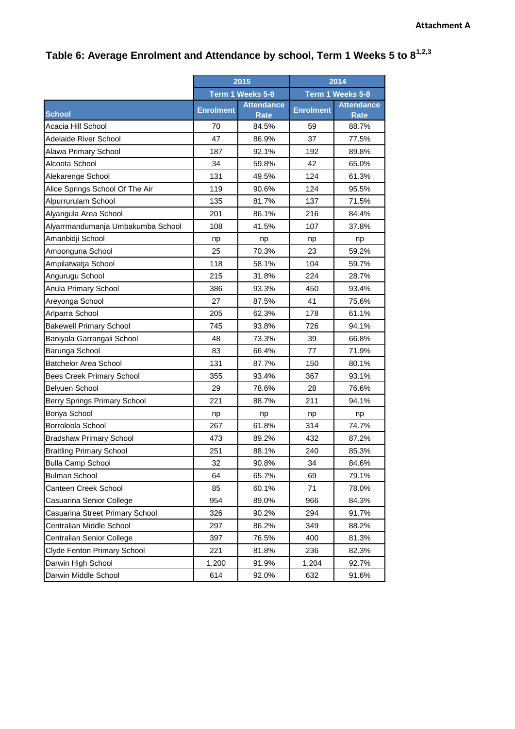## **Table 6: Average Enrolment and Attendance by school, Term 1 Weeks 5 to 81,2,3**

|                                   | 2015             |                                  | 2014             |                                  |
|-----------------------------------|------------------|----------------------------------|------------------|----------------------------------|
|                                   | Term 1 Weeks 5-8 |                                  | Term 1 Weeks 5-8 |                                  |
| <b>School</b>                     | <b>Enrolment</b> | <b>Attendance</b><br><b>Rate</b> | <b>Enrolment</b> | <b>Attendance</b><br><b>Rate</b> |
| Acacia Hill School                | 70               | 84.5%                            | 59               | 88.7%                            |
| <b>Adelaide River School</b>      | 47               | 86.9%                            | 37               | 77.5%                            |
| Alawa Primary School              | 187              | 92.1%                            | 192              | 89.8%                            |
| Alcoota School                    | 34               | 59.8%                            | 42               | 65.0%                            |
| Alekarenge School                 | 131              | 49.5%                            | 124              | 61.3%                            |
| Alice Springs School Of The Air   | 119              | 90.6%                            | 124              | 95.5%                            |
| Alpurrurulam School               | 135              | 81.7%                            | 137              | 71.5%                            |
| Alyangula Area School             | 201              | 86.1%                            | 216              | 84.4%                            |
| Alyarrmandumanja Umbakumba School | 108              | 41.5%                            | 107              | 37.8%                            |
| Amanbidji School                  | np               | np                               | np               | np                               |
| Amoonguna School                  | 25               | 70.3%                            | 23               | 59.2%                            |
| Ampilatwatja School               | 118              | 58.1%                            | 104              | 59.7%                            |
| Angurugu School                   | 215              | 31.8%                            | 224              | 28.7%                            |
| Anula Primary School              | 386              | 93.3%                            | 450              | 93.4%                            |
| Areyonga School                   | 27               | 87.5%                            | 41               | 75.6%                            |
| Arlparra School                   | 205              | 62.3%                            | 178              | 61.1%                            |
| <b>Bakewell Primary School</b>    | 745              | 93.8%                            | 726              | 94.1%                            |
| Baniyala Garrangali School        | 48               | 73.3%                            | 39               | 66.8%                            |
| Barunga School                    | 83               | 66.4%                            | 77               | 71.9%                            |
| <b>Batchelor Area School</b>      | 131              | 87.7%                            | 150              | 80.1%                            |
| <b>Bees Creek Primary School</b>  | 355              | 93.4%                            | 367              | 93.1%                            |
| Belyuen School                    | 29               | 78.6%                            | 28               | 76.6%                            |
| Berry Springs Primary School      | 221              | 88.7%                            | 211              | 94.1%                            |
| Bonya School                      | np               | np                               | np               | np                               |
| Borroloola School                 | 267              | 61.8%                            | 314              | 74.7%                            |
| <b>Bradshaw Primary School</b>    | 473              | 89.2%                            | 432              | 87.2%                            |
| <b>Braitling Primary School</b>   | 251              | 88.1%                            | 240              | 85.3%                            |
| <b>Bulla Camp School</b>          | 32               | 90.8%                            | 34               | 84.6%                            |
| <b>Bulman School</b>              | 64               | 65.7%                            | 69               | 79.1%                            |
| Canteen Creek School              | 85               | 60.1%                            | 71               | 78.0%                            |
| Casuarina Senior College          | 954              | 89.0%                            | 966              | 84.3%                            |
| Casuarina Street Primary School   | 326              | 90.2%                            | 294              | 91.7%                            |
| Centralian Middle School          | 297              | 86.2%                            | 349              | 88.2%                            |
| Centralian Senior College         | 397              | 76.5%                            | 400              | 81.3%                            |
| Clyde Fenton Primary School       | 221              | 81.8%                            | 236              | 82.3%                            |
| Darwin High School                | 1,200            | 91.9%                            | 1,204            | 92.7%                            |
| Darwin Middle School              | 614              | 92.0%                            | 632              | 91.6%                            |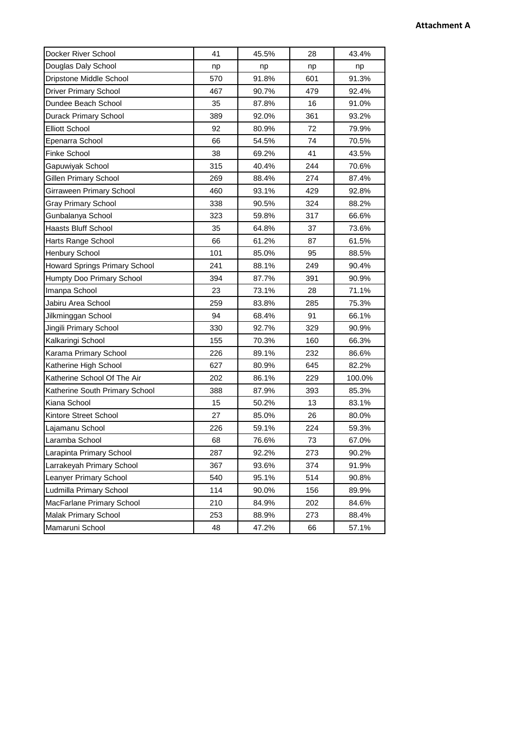## **Attachment A**

| Docker River School            | 41  | 45.5% | 28  | 43.4%  |
|--------------------------------|-----|-------|-----|--------|
| Douglas Daly School            | np  | np    | np  | np     |
| Dripstone Middle School        | 570 | 91.8% | 601 | 91.3%  |
| <b>Driver Primary School</b>   | 467 | 90.7% | 479 | 92.4%  |
| Dundee Beach School            | 35  | 87.8% | 16  | 91.0%  |
| <b>Durack Primary School</b>   | 389 | 92.0% | 361 | 93.2%  |
| <b>Elliott School</b>          | 92  | 80.9% | 72  | 79.9%  |
| Epenarra School                | 66  | 54.5% | 74  | 70.5%  |
| <b>Finke School</b>            | 38  | 69.2% | 41  | 43.5%  |
| Gapuwiyak School               | 315 | 40.4% | 244 | 70.6%  |
| Gillen Primary School          | 269 | 88.4% | 274 | 87.4%  |
| Girraween Primary School       | 460 | 93.1% | 429 | 92.8%  |
| <b>Gray Primary School</b>     | 338 | 90.5% | 324 | 88.2%  |
| Gunbalanya School              | 323 | 59.8% | 317 | 66.6%  |
| <b>Haasts Bluff School</b>     | 35  | 64.8% | 37  | 73.6%  |
| Harts Range School             | 66  | 61.2% | 87  | 61.5%  |
| Henbury School                 | 101 | 85.0% | 95  | 88.5%  |
| Howard Springs Primary School  | 241 | 88.1% | 249 | 90.4%  |
| Humpty Doo Primary School      | 394 | 87.7% | 391 | 90.9%  |
| Imanpa School                  | 23  | 73.1% | 28  | 71.1%  |
| Jabiru Area School             | 259 | 83.8% | 285 | 75.3%  |
| Jilkminggan School             | 94  | 68.4% | 91  | 66.1%  |
| Jingili Primary School         | 330 | 92.7% | 329 | 90.9%  |
| Kalkaringi School              | 155 | 70.3% | 160 | 66.3%  |
| Karama Primary School          | 226 | 89.1% | 232 | 86.6%  |
| Katherine High School          | 627 | 80.9% | 645 | 82.2%  |
| Katherine School Of The Air    | 202 | 86.1% | 229 | 100.0% |
| Katherine South Primary School | 388 | 87.9% | 393 | 85.3%  |
| Kiana School                   | 15  | 50.2% | 13  | 83.1%  |
| Kintore Street School          | 27  | 85.0% | 26  | 80.0%  |
| Lajamanu School                | 226 | 59.1% | 224 | 59.3%  |
| Laramba School                 | 68  | 76.6% | 73  | 67.0%  |
| Larapinta Primary School       | 287 | 92.2% | 273 | 90.2%  |
| Larrakeyah Primary School      | 367 | 93.6% | 374 | 91.9%  |
| Leanyer Primary School         | 540 | 95.1% | 514 | 90.8%  |
| Ludmilla Primary School        | 114 | 90.0% | 156 | 89.9%  |
| MacFarlane Primary School      | 210 | 84.9% | 202 | 84.6%  |
| Malak Primary School           | 253 | 88.9% | 273 | 88.4%  |
| Mamaruni School                | 48  | 47.2% | 66  | 57.1%  |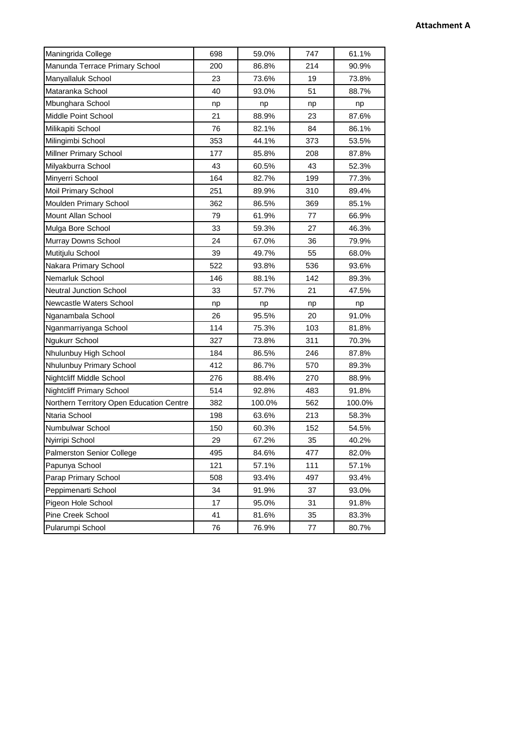## **Attachment A**

| Maningrida College                       | 698 | 59.0%  | 747 | 61.1%  |
|------------------------------------------|-----|--------|-----|--------|
| Manunda Terrace Primary School           | 200 | 86.8%  | 214 | 90.9%  |
| Manyallaluk School                       | 23  | 73.6%  | 19  | 73.8%  |
| Mataranka School                         | 40  | 93.0%  | 51  | 88.7%  |
| Mbunghara School                         | np  | np     | np  | np     |
| Middle Point School                      | 21  | 88.9%  | 23  | 87.6%  |
| Milikapiti School                        | 76  | 82.1%  | 84  | 86.1%  |
| Milingimbi School                        | 353 | 44.1%  | 373 | 53.5%  |
| Millner Primary School                   | 177 | 85.8%  | 208 | 87.8%  |
| Milyakburra School                       | 43  | 60.5%  | 43  | 52.3%  |
| Minyerri School                          | 164 | 82.7%  | 199 | 77.3%  |
| Moil Primary School                      | 251 | 89.9%  | 310 | 89.4%  |
| Moulden Primary School                   | 362 | 86.5%  | 369 | 85.1%  |
| Mount Allan School                       | 79  | 61.9%  | 77  | 66.9%  |
| Mulga Bore School                        | 33  | 59.3%  | 27  | 46.3%  |
| Murray Downs School                      | 24  | 67.0%  | 36  | 79.9%  |
| Mutitjulu School                         | 39  | 49.7%  | 55  | 68.0%  |
| Nakara Primary School                    | 522 | 93.8%  | 536 | 93.6%  |
| Nemarluk School                          | 146 | 88.1%  | 142 | 89.3%  |
| <b>Neutral Junction School</b>           | 33  | 57.7%  | 21  | 47.5%  |
| Newcastle Waters School                  | np  | np     | np  | np     |
| Nganambala School                        | 26  | 95.5%  | 20  | 91.0%  |
| Nganmarriyanga School                    | 114 | 75.3%  | 103 | 81.8%  |
| Ngukurr School                           | 327 | 73.8%  | 311 | 70.3%  |
| Nhulunbuy High School                    | 184 | 86.5%  | 246 | 87.8%  |
| Nhulunbuy Primary School                 | 412 | 86.7%  | 570 | 89.3%  |
| Nightcliff Middle School                 | 276 | 88.4%  | 270 | 88.9%  |
| <b>Nightcliff Primary School</b>         | 514 | 92.8%  | 483 | 91.8%  |
| Northern Territory Open Education Centre | 382 | 100.0% | 562 | 100.0% |
| Ntaria School                            | 198 | 63.6%  | 213 | 58.3%  |
| Numbulwar School                         | 150 | 60.3%  | 152 | 54.5%  |
| Nyirripi School                          | 29  | 67.2%  | 35  | 40.2%  |
| Palmerston Senior College                | 495 | 84.6%  | 477 | 82.0%  |
| Papunya School                           | 121 | 57.1%  | 111 | 57.1%  |
| Parap Primary School                     | 508 | 93.4%  | 497 | 93.4%  |
| Peppimenarti School                      | 34  | 91.9%  | 37  | 93.0%  |
| Pigeon Hole School                       | 17  | 95.0%  | 31  | 91.8%  |
| Pine Creek School                        | 41  | 81.6%  | 35  | 83.3%  |
| Pularumpi School                         | 76  | 76.9%  | 77  | 80.7%  |